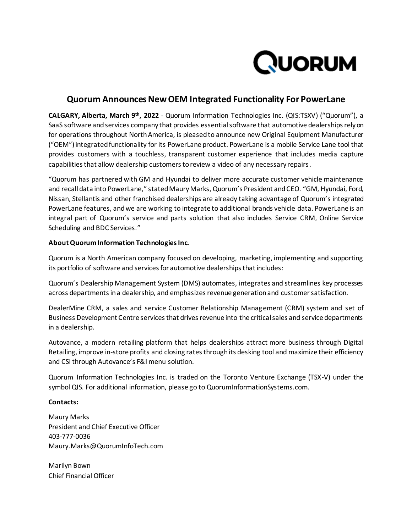

## **Quorum Announces New OEM Integrated Functionality For PowerLane**

**CALGARY, Alberta, March 9 th, 2022** - Quorum Information Technologies Inc. (QIS:TSXV) ("Quorum"), a SaaS software and services company that provides essential software that automotive dealerships rely on for operations throughout North America, is pleased to announce new Original Equipment Manufacturer ("OEM") integrated functionality for its PowerLane product. PowerLane is a mobile Service Lane tool that provides customers with a touchless, transparent customer experience that includes media capture capabilities that allow dealership customers to review a video of any necessary repairs.

"Quorum has partnered with GM and Hyundai to deliver more accurate customer vehicle maintenance and recall data into PowerLane," stated Maury Marks, Quorum's President and CEO. "GM, Hyundai, Ford, Nissan, Stellantis and other franchised dealerships are already taking advantage of Quorum's integrated PowerLane features, and we are working to integrate to additional brands vehicle data. PowerLane is an integral part of Quorum's service and parts solution that also includes Service CRM, Online Service Scheduling and BDC Services."

## **About Quorum Information Technologies Inc.**

Quorum is a North American company focused on developing, marketing, implementing and supporting its portfolio of software and services for automotive dealerships that includes:

Quorum's Dealership Management System (DMS) automates, integrates and streamlines key processes across departments in a dealership, and emphasizes revenue generation and customer satisfaction.

DealerMine CRM, a sales and service Customer Relationship Management (CRM) system and set of Business Development Centre services that drives revenue into the critical sales and service departments in a dealership.

Autovance, a modern retailing platform that helps dealerships attract more business through Digital Retailing, improve in-store profits and closing rates through its desking tool and maximize their efficiency and CSI through Autovance's F&I menu solution.

Quorum Information Technologies Inc. is traded on the Toronto Venture Exchange (TSX-V) under the symbol QIS. For additional information, please go to QuorumInformationSystems.com.

## **Contacts:**

Maury Marks President and Chief Executive Officer 403-777-0036 Maury.Marks@QuorumInfoTech.com

Marilyn Bown Chief Financial Officer